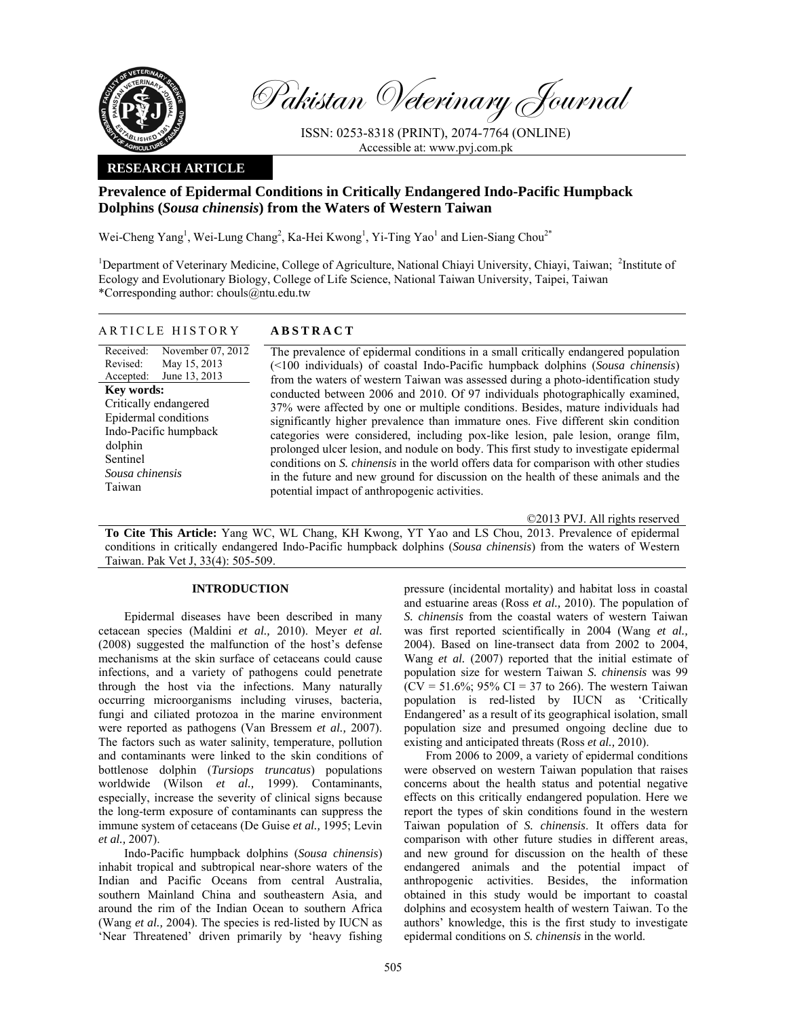

Pakistan Veterinary Journal

ISSN: 0253-8318 (PRINT), 2074-7764 (ONLINE) Accessible at: www.pvj.com.pk

# **RESEARCH ARTICLE**

# **Prevalence of Epidermal Conditions in Critically Endangered Indo-Pacific Humpback Dolphins (***Sousa chinensis***) from the Waters of Western Taiwan**

Wei-Cheng Yang<sup>1</sup>, Wei-Lung Chang<sup>2</sup>, Ka-Hei Kwong<sup>1</sup>, Yi-Ting Yao<sup>1</sup> and Lien-Siang Chou<sup>2\*</sup>

<sup>1</sup>Department of Veterinary Medicine, College of Agriculture, National Chiayi University, Chiayi, Taiwan; <sup>2</sup>Institute of Ecology and Evolutionary Biology, College of Life Science, National Taiwan University, Taipei, Taiwan \*Corresponding author: chouls@ntu.edu.tw

# ARTICLE HISTORY **ABSTRACT**

Received: Revised: Accepted: November 07, 2012 May 15, 2013 June 13, 2013 **Key words:**  Critically endangered Epidermal conditions Indo-Pacific humpback dolphin Sentinel *Sousa chinensis*  Taiwan

 The prevalence of epidermal conditions in a small critically endangered population (<100 individuals) of coastal Indo-Pacific humpback dolphins (*Sousa chinensis*) from the waters of western Taiwan was assessed during a photo-identification study conducted between 2006 and 2010. Of 97 individuals photographically examined, 37% were affected by one or multiple conditions. Besides, mature individuals had significantly higher prevalence than immature ones. Five different skin condition categories were considered, including pox-like lesion, pale lesion, orange film, prolonged ulcer lesion, and nodule on body. This first study to investigate epidermal conditions on *S. chinensis* in the world offers data for comparison with other studies in the future and new ground for discussion on the health of these animals and the potential impact of anthropogenic activities.

©2013 PVJ. All rights reserved

**To Cite This Article:** Yang WC, WL Chang, KH Kwong, YT Yao and LS Chou, 2013. Prevalence of epidermal conditions in critically endangered Indo-Pacific humpback dolphins (*Sousa chinensis*) from the waters of Western Taiwan. Pak Vet J, 33(4): 505-509.

# **INTRODUCTION**

Epidermal diseases have been described in many cetacean species (Maldini *et al.,* 2010). Meyer *et al.* (2008) suggested the malfunction of the host's defense mechanisms at the skin surface of cetaceans could cause infections, and a variety of pathogens could penetrate through the host via the infections. Many naturally occurring microorganisms including viruses, bacteria, fungi and ciliated protozoa in the marine environment were reported as pathogens (Van Bressem *et al.,* 2007). The factors such as water salinity, temperature, pollution and contaminants were linked to the skin conditions of bottlenose dolphin (*Tursiops truncatus*) populations worldwide (Wilson *et al.,* 1999). Contaminants, especially, increase the severity of clinical signs because the long-term exposure of contaminants can suppress the immune system of cetaceans (De Guise *et al.,* 1995; Levin *et al.,* 2007).

Indo-Pacific humpback dolphins (*Sousa chinensis*) inhabit tropical and subtropical near-shore waters of the Indian and Pacific Oceans from central Australia, southern Mainland China and southeastern Asia, and around the rim of the Indian Ocean to southern Africa (Wang *et al.,* 2004). The species is red-listed by IUCN as 'Near Threatened' driven primarily by 'heavy fishing

pressure (incidental mortality) and habitat loss in coastal and estuarine areas (Ross *et al.,* 2010). The population of *S. chinensis* from the coastal waters of western Taiwan was first reported scientifically in 2004 (Wang *et al.,* 2004). Based on line-transect data from 2002 to 2004, Wang *et al.* (2007) reported that the initial estimate of population size for western Taiwan *S. chinensis* was 99  $(CV = 51.6\%; 95\% \text{ CI} = 37 \text{ to } 266)$ . The western Taiwan population is red-listed by IUCN as 'Critically Endangered' as a result of its geographical isolation, small population size and presumed ongoing decline due to existing and anticipated threats (Ross *et al.,* 2010).

From 2006 to 2009, a variety of epidermal conditions were observed on western Taiwan population that raises concerns about the health status and potential negative effects on this critically endangered population. Here we report the types of skin conditions found in the western Taiwan population of *S. chinensis*. It offers data for comparison with other future studies in different areas, and new ground for discussion on the health of these endangered animals and the potential impact of anthropogenic activities. Besides, the information obtained in this study would be important to coastal dolphins and ecosystem health of western Taiwan. To the authors' knowledge, this is the first study to investigate epidermal conditions on *S. chinensis* in the world.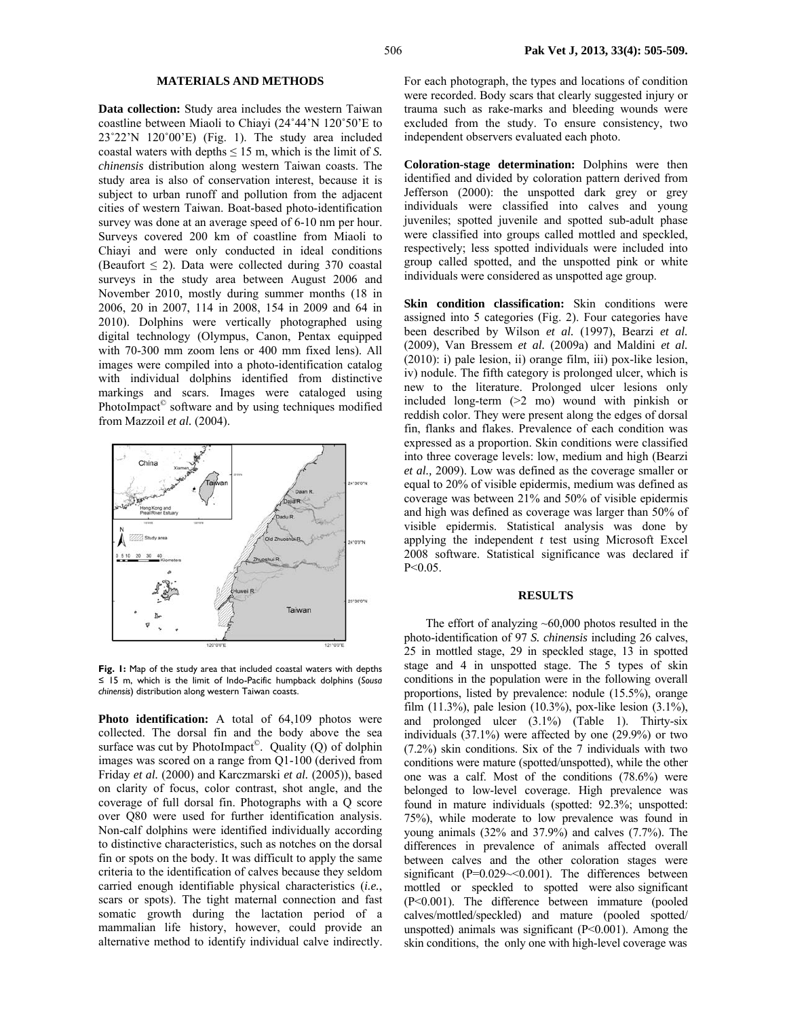### **MATERIALS AND METHODS**

**Data collection:** Study area includes the western Taiwan coastline between Miaoli to Chiayi (24˚44'N 120˚50'E to 23˚22'N 120˚00'E) (Fig. 1). The study area included coastal waters with depths  $\leq 15$  m, which is the limit of *S*. *chinensis* distribution along western Taiwan coasts. The study area is also of conservation interest, because it is subject to urban runoff and pollution from the adjacent cities of western Taiwan. Boat-based photo-identification survey was done at an average speed of 6-10 nm per hour. Surveys covered 200 km of coastline from Miaoli to Chiayi and were only conducted in ideal conditions (Beaufort  $\leq$  2). Data were collected during 370 coastal surveys in the study area between August 2006 and November 2010, mostly during summer months (18 in 2006, 20 in 2007, 114 in 2008, 154 in 2009 and 64 in 2010). Dolphins were vertically photographed using digital technology (Olympus, Canon, Pentax equipped with 70-300 mm zoom lens or 400 mm fixed lens). All images were compiled into a photo-identification catalog with individual dolphins identified from distinctive markings and scars. Images were cataloged using PhotoImpact<sup>©</sup> software and by using techniques modified from Mazzoil *et al.* (2004).



**Fig. 1:** Map of the study area that included coastal waters with depths ≤ 15 m, which is the limit of Indo-Pacific humpback dolphins (*Sousa chinensis*) distribution along western Taiwan coasts.

**Photo identification:** A total of 64,109 photos were collected. The dorsal fin and the body above the sea surface was cut by PhotoImpact<sup>®</sup>. Quality (Q) of dolphin images was scored on a range from Q1-100 (derived from Friday *et al.* (2000) and Karczmarski *et al.* (2005)), based on clarity of focus, color contrast, shot angle, and the coverage of full dorsal fin. Photographs with a Q score over Q80 were used for further identification analysis. Non-calf dolphins were identified individually according to distinctive characteristics, such as notches on the dorsal fin or spots on the body. It was difficult to apply the same criteria to the identification of calves because they seldom carried enough identifiable physical characteristics (*i.e.*, scars or spots). The tight maternal connection and fast somatic growth during the lactation period of a mammalian life history, however, could provide an alternative method to identify individual calve indirectly. For each photograph, the types and locations of condition were recorded. Body scars that clearly suggested injury or trauma such as rake-marks and bleeding wounds were excluded from the study. To ensure consistency, two independent observers evaluated each photo.

**Coloration-stage determination:** Dolphins were then identified and divided by coloration pattern derived from Jefferson (2000): the unspotted dark grey or grey individuals were classified into calves and young juveniles; spotted juvenile and spotted sub-adult phase were classified into groups called mottled and speckled, respectively; less spotted individuals were included into group called spotted, and the unspotted pink or white individuals were considered as unspotted age group.

Skin condition classification: Skin conditions were assigned into 5 categories (Fig. 2). Four categories have been described by Wilson *et al.* (1997), Bearzi *et al.* (2009), Van Bressem *et al.* (2009a) and Maldini *et al.* (2010): i) pale lesion, ii) orange film, iii) pox-like lesion, iv) nodule. The fifth category is prolonged ulcer, which is new to the literature. Prolonged ulcer lesions only included long-term (>2 mo) wound with pinkish or reddish color. They were present along the edges of dorsal fin, flanks and flakes. Prevalence of each condition was expressed as a proportion. Skin conditions were classified into three coverage levels: low, medium and high (Bearzi *et al.,* 2009). Low was defined as the coverage smaller or equal to 20% of visible epidermis, medium was defined as coverage was between 21% and 50% of visible epidermis and high was defined as coverage was larger than 50% of visible epidermis. Statistical analysis was done by applying the independent *t* test using Microsoft Excel 2008 software. Statistical significance was declared if P<0.05.

# **RESULTS**

The effort of analyzing  $~60,000$  photos resulted in the photo-identification of 97 *S. chinensis* including 26 calves, 25 in mottled stage, 29 in speckled stage, 13 in spotted stage and 4 in unspotted stage. The 5 types of skin conditions in the population were in the following overall proportions, listed by prevalence: nodule (15.5%), orange film (11.3%), pale lesion (10.3%), pox-like lesion (3.1%), and prolonged ulcer (3.1%) (Table 1). Thirty-six individuals (37.1%) were affected by one (29.9%) or two (7.2%) skin conditions. Six of the 7 individuals with two conditions were mature (spotted/unspotted), while the other one was a calf. Most of the conditions (78.6%) were belonged to low-level coverage. High prevalence was found in mature individuals (spotted: 92.3%; unspotted: 75%), while moderate to low prevalence was found in young animals (32% and 37.9%) and calves (7.7%). The differences in prevalence of animals affected overall between calves and the other coloration stages were significant (P=0.029~<0.001). The differences between mottled or speckled to spotted were also significant (P<0.001). The difference between immature (pooled calves/mottled/speckled) and mature (pooled spotted/ unspotted) animals was significant  $(P< 0.001)$ . Among the skin conditions, the only one with high-level coverage was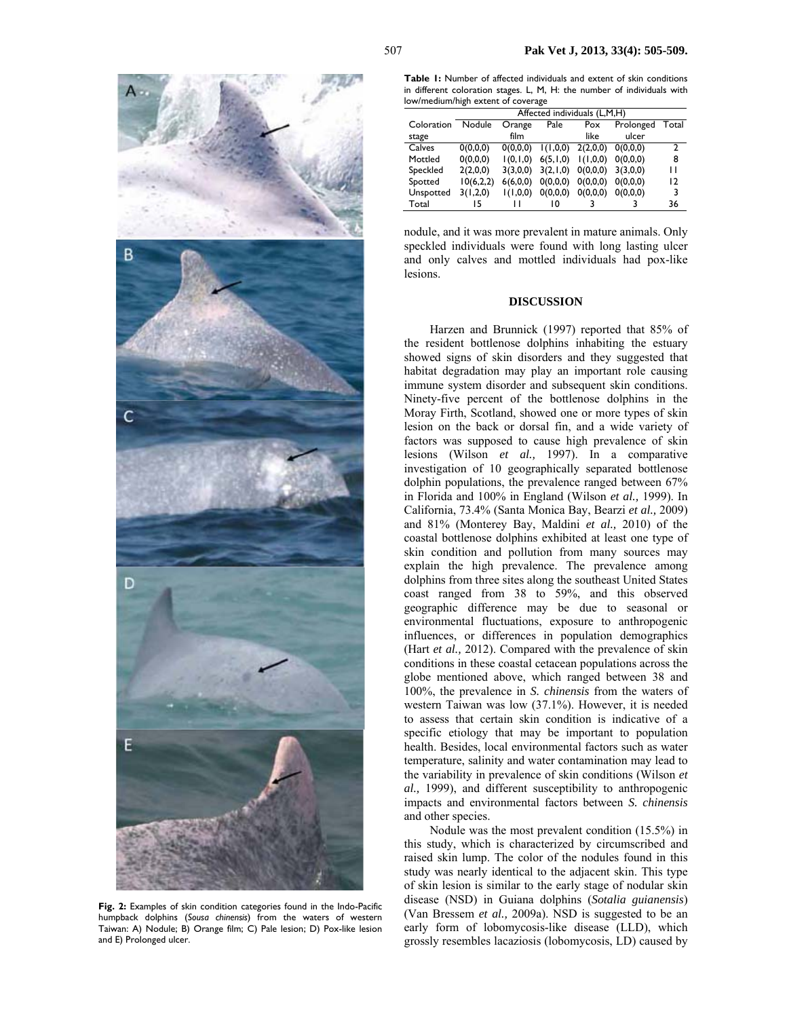

**Fig. 2:** Examples of skin condition categories found in the Indo-Pacific humpback dolphins (*Sousa chinensis*) from the waters of western Taiwan: A) Nodule; B) Orange film; C) Pale lesion; D) Pox-like lesion and E) Prolonged ulcer.

| Table I: Number of affected individuals and extent of skin conditions   |  |  |  |  |  |  |  |  |
|-------------------------------------------------------------------------|--|--|--|--|--|--|--|--|
| in different coloration stages. L, M, H: the number of individuals with |  |  |  |  |  |  |  |  |
| low/medium/high extent of coverage                                      |  |  |  |  |  |  |  |  |

|            | Affected individuals (L,M,H) |            |            |          |           |       |  |
|------------|------------------------------|------------|------------|----------|-----------|-------|--|
| Coloration | Nodule                       | Orange     | Pale       | Pox      | Prolonged | Total |  |
| stage      |                              | film       |            | like     | ulcer     |       |  |
| Calves     | 0(0,0,0)                     | 0(0,0,0)   | 1(1,0,0)   | 2(2,0,0) | 0(0.0.0)  | 2     |  |
| Mottled    | 0(0,0,0)                     | 1(0, 1, 0) | 6(5, 1, 0) | 1(1,0,0) | 0(0,0,0)  | 8     |  |
| Speckled   | 2(2,0,0)                     | 3(3,0,0)   | 3(2,1,0)   | 0(0,0,0) | 3(3,0,0)  | п     |  |
| Spotted    | 10(6,2,2)                    | 6(6,0,0)   | 0(0,0,0)   | 0(0,0,0) | 0(0,0,0)  | 12    |  |
| Unspotted  | 3(1,2,0)                     | 1(1,0,0)   | 0(0,0,0)   | 0(0,0,0) | 0(0,0,0)  | 3     |  |
| Total      | 15                           |            | 10         |          |           | 36    |  |
|            |                              |            |            |          |           |       |  |

nodule, and it was more prevalent in mature animals. Only speckled individuals were found with long lasting ulcer and only calves and mottled individuals had pox-like lesions.

### **DISCUSSION**

Harzen and Brunnick (1997) reported that 85% of the resident bottlenose dolphins inhabiting the estuary showed signs of skin disorders and they suggested that habitat degradation may play an important role causing immune system disorder and subsequent skin conditions. Ninety-five percent of the bottlenose dolphins in the Moray Firth, Scotland, showed one or more types of skin lesion on the back or dorsal fin, and a wide variety of factors was supposed to cause high prevalence of skin lesions (Wilson *et al.,* 1997). In a comparative investigation of 10 geographically separated bottlenose dolphin populations, the prevalence ranged between 67% in Florida and 100% in England (Wilson *et al.,* 1999). In California, 73.4% (Santa Monica Bay, Bearzi *et al.,* 2009) and 81% (Monterey Bay, Maldini *et al.,* 2010) of the coastal bottlenose dolphins exhibited at least one type of skin condition and pollution from many sources may explain the high prevalence. The prevalence among dolphins from three sites along the southeast United States coast ranged from 38 to 59%, and this observed geographic difference may be due to seasonal or environmental fluctuations, exposure to anthropogenic influences, or differences in population demographics (Hart *et al.,* 2012). Compared with the prevalence of skin conditions in these coastal cetacean populations across the globe mentioned above, which ranged between 38 and 100%, the prevalence in *S. chinensis* from the waters of western Taiwan was low (37.1%). However, it is needed to assess that certain skin condition is indicative of a specific etiology that may be important to population health. Besides, local environmental factors such as water temperature, salinity and water contamination may lead to the variability in prevalence of skin conditions (Wilson *et al.,* 1999), and different susceptibility to anthropogenic impacts and environmental factors between *S. chinensis* and other species.

Nodule was the most prevalent condition (15.5%) in this study, which is characterized by circumscribed and raised skin lump. The color of the nodules found in this study was nearly identical to the adjacent skin. This type of skin lesion is similar to the early stage of nodular skin disease (NSD) in Guiana dolphins (*Sotalia guianensis*) (Van Bressem *et al.,* 2009a). NSD is suggested to be an early form of lobomycosis-like disease (LLD), which grossly resembles lacaziosis (lobomycosis, LD) caused by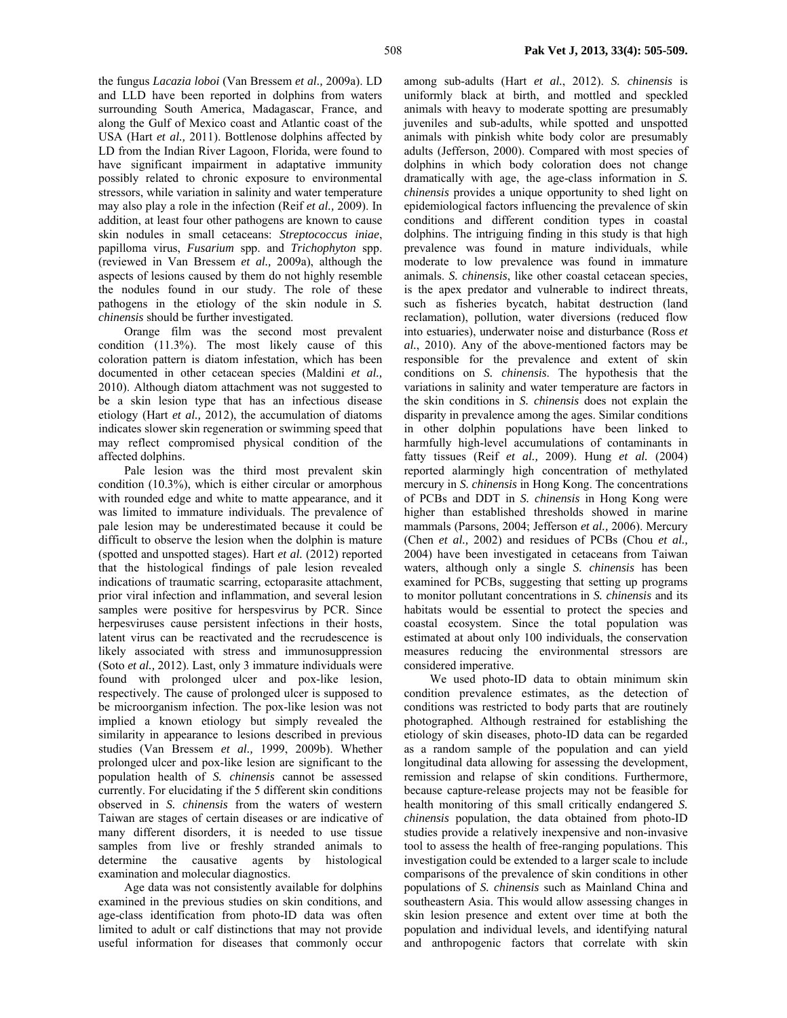the fungus *Lacazia loboi* (Van Bressem *et al.,* 2009a). LD and LLD have been reported in dolphins from waters surrounding South America, Madagascar, France, and along the Gulf of Mexico coast and Atlantic coast of the USA (Hart *et al.,* 2011). Bottlenose dolphins affected by LD from the Indian River Lagoon, Florida, were found to have significant impairment in adaptative immunity possibly related to chronic exposure to environmental stressors, while variation in salinity and water temperature may also play a role in the infection (Reif *et al.,* 2009). In addition, at least four other pathogens are known to cause skin nodules in small cetaceans: *Streptococcus iniae*, papilloma virus, *Fusarium* spp. and *Trichophyton* spp. (reviewed in Van Bressem *et al.,* 2009a), although the aspects of lesions caused by them do not highly resemble the nodules found in our study. The role of these pathogens in the etiology of the skin nodule in *S. chinensis* should be further investigated.

Orange film was the second most prevalent condition  $(11.3\%)$ . The most likely cause of this coloration pattern is diatom infestation, which has been documented in other cetacean species (Maldini *et al.,* 2010). Although diatom attachment was not suggested to be a skin lesion type that has an infectious disease etiology (Hart *et al.,* 2012), the accumulation of diatoms indicates slower skin regeneration or swimming speed that may reflect compromised physical condition of the affected dolphins.

Pale lesion was the third most prevalent skin condition (10.3%), which is either circular or amorphous with rounded edge and white to matte appearance, and it was limited to immature individuals. The prevalence of pale lesion may be underestimated because it could be difficult to observe the lesion when the dolphin is mature (spotted and unspotted stages). Hart *et al.* (2012) reported that the histological findings of pale lesion revealed indications of traumatic scarring, ectoparasite attachment, prior viral infection and inflammation, and several lesion samples were positive for herspesvirus by PCR. Since herpesviruses cause persistent infections in their hosts, latent virus can be reactivated and the recrudescence is likely associated with stress and immunosuppression (Soto *et al.,* 2012). Last, only 3 immature individuals were found with prolonged ulcer and pox-like lesion, respectively. The cause of prolonged ulcer is supposed to be microorganism infection. The pox-like lesion was not implied a known etiology but simply revealed the similarity in appearance to lesions described in previous studies (Van Bressem *et al.,* 1999, 2009b). Whether prolonged ulcer and pox-like lesion are significant to the population health of *S. chinensis* cannot be assessed currently. For elucidating if the 5 different skin conditions observed in *S. chinensis* from the waters of western Taiwan are stages of certain diseases or are indicative of many different disorders, it is needed to use tissue samples from live or freshly stranded animals to determine the causative agents by histological examination and molecular diagnostics.

Age data was not consistently available for dolphins examined in the previous studies on skin conditions, and age-class identification from photo-ID data was often limited to adult or calf distinctions that may not provide useful information for diseases that commonly occur among sub-adults (Hart *et al.*, 2012). *S. chinensis* is uniformly black at birth, and mottled and speckled animals with heavy to moderate spotting are presumably juveniles and sub-adults, while spotted and unspotted animals with pinkish white body color are presumably adults (Jefferson, 2000). Compared with most species of dolphins in which body coloration does not change dramatically with age, the age-class information in *S. chinensis* provides a unique opportunity to shed light on epidemiological factors influencing the prevalence of skin conditions and different condition types in coastal dolphins. The intriguing finding in this study is that high prevalence was found in mature individuals, while moderate to low prevalence was found in immature animals. *S. chinensis*, like other coastal cetacean species, is the apex predator and vulnerable to indirect threats, such as fisheries bycatch, habitat destruction (land reclamation), pollution, water diversions (reduced flow into estuaries), underwater noise and disturbance (Ross *et al.*, 2010). Any of the above-mentioned factors may be responsible for the prevalence and extent of skin conditions on *S. chinensis*. The hypothesis that the variations in salinity and water temperature are factors in the skin conditions in *S. chinensis* does not explain the disparity in prevalence among the ages. Similar conditions in other dolphin populations have been linked to harmfully high-level accumulations of contaminants in fatty tissues (Reif *et al.,* 2009). Hung *et al.* (2004) reported alarmingly high concentration of methylated mercury in *S. chinensis* in Hong Kong. The concentrations of PCBs and DDT in *S. chinensis* in Hong Kong were higher than established thresholds showed in marine mammals (Parsons, 2004; Jefferson *et al.,* 2006). Mercury (Chen *et al.,* 2002) and residues of PCBs (Chou *et al.,* 2004) have been investigated in cetaceans from Taiwan waters, although only a single *S. chinensis* has been examined for PCBs, suggesting that setting up programs to monitor pollutant concentrations in *S. chinensis* and its habitats would be essential to protect the species and coastal ecosystem. Since the total population was estimated at about only 100 individuals, the conservation measures reducing the environmental stressors are considered imperative.

We used photo-ID data to obtain minimum skin condition prevalence estimates, as the detection of conditions was restricted to body parts that are routinely photographed. Although restrained for establishing the etiology of skin diseases, photo-ID data can be regarded as a random sample of the population and can yield longitudinal data allowing for assessing the development, remission and relapse of skin conditions. Furthermore, because capture-release projects may not be feasible for health monitoring of this small critically endangered *S. chinensis* population, the data obtained from photo-ID studies provide a relatively inexpensive and non-invasive tool to assess the health of free-ranging populations. This investigation could be extended to a larger scale to include comparisons of the prevalence of skin conditions in other populations of *S. chinensis* such as Mainland China and southeastern Asia. This would allow assessing changes in skin lesion presence and extent over time at both the population and individual levels, and identifying natural and anthropogenic factors that correlate with skin